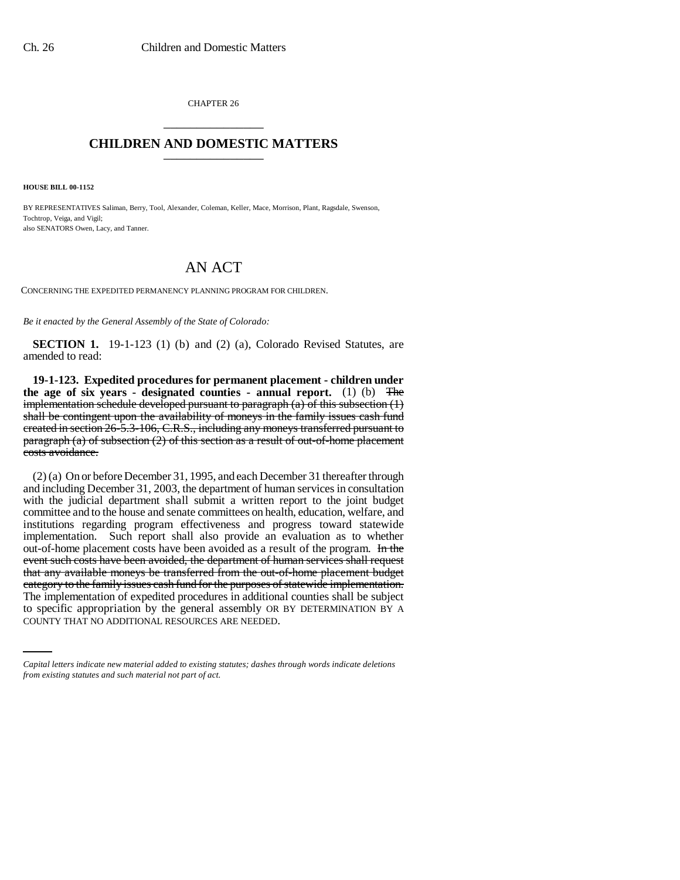CHAPTER 26 \_\_\_\_\_\_\_\_\_\_\_\_\_\_\_

## **CHILDREN AND DOMESTIC MATTERS** \_\_\_\_\_\_\_\_\_\_\_\_\_\_\_

**HOUSE BILL 00-1152** 

BY REPRESENTATIVES Saliman, Berry, Tool, Alexander, Coleman, Keller, Mace, Morrison, Plant, Ragsdale, Swenson, Tochtrop, Veiga, and Vigil; also SENATORS Owen, Lacy, and Tanner.

## AN ACT

CONCERNING THE EXPEDITED PERMANENCY PLANNING PROGRAM FOR CHILDREN.

*Be it enacted by the General Assembly of the State of Colorado:*

**SECTION 1.** 19-1-123 (1) (b) and (2) (a), Colorado Revised Statutes, are amended to read:

**19-1-123. Expedited procedures for permanent placement - children under the age of six years - designated counties - annual report.** (1) (b) The implementation schedule developed pursuant to paragraph  $(a)$  of this subsection  $(1)$ shall be contingent upon the availability of moneys in the family issues cash fund created in section 26-5.3-106, C.R.S., including any moneys transferred pursuant to paragraph (a) of subsection  $(2)$  of this section as a result of out-of-home placement costs avoidance.

The implementation of expedited procedures in additional counties shall be subject (2) (a) On or before December 31, 1995, and each December 31 thereafter through and including December 31, 2003, the department of human services in consultation with the judicial department shall submit a written report to the joint budget committee and to the house and senate committees on health, education, welfare, and institutions regarding program effectiveness and progress toward statewide implementation. Such report shall also provide an evaluation as to whether out-of-home placement costs have been avoided as a result of the program. In the event such costs have been avoided, the department of human services shall request that any available moneys be transferred from the out-of-home placement budget category to the family issues cash fund for the purposes of statewide implementation. to specific appropriation by the general assembly OR BY DETERMINATION BY A COUNTY THAT NO ADDITIONAL RESOURCES ARE NEEDED.

*Capital letters indicate new material added to existing statutes; dashes through words indicate deletions from existing statutes and such material not part of act.*